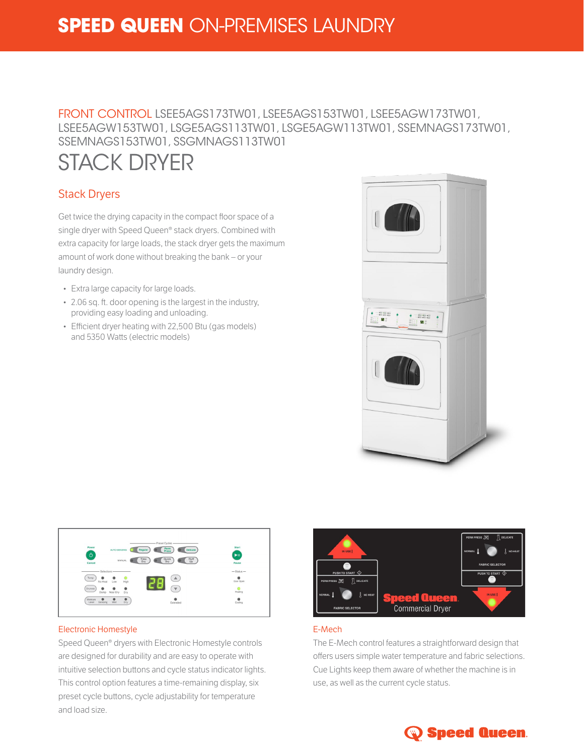# **SPEED QUEEN** ON-PREMISES LAUNDRY

## FRONT CONTROL LSEE5AGS173TW01, LSEE5AGS153TW01, LSEE5AGW173TW01, LSEE5AGW153TW01, LSGE5AGS113TW01, LSGE5AGW113TW01, SSEMNAGS173TW01, SSEMNAGS153TW01, SSGMNAGS113TW01

# STACK DRYER

### Stack Dryers

Get twice the drying capacity in the compact floor space of a single dryer with Speed Queen® stack dryers. Combined with extra capacity for large loads, the stack dryer gets the maximum amount of work done without breaking the bank – or your laundry design.

- Extra large capacity for large loads.
- 2.06 sq. ft. door opening is the largest in the industry, providing easy loading and unloading.
- Efficient dryer heating with 22,500 Btu (gas models) and 5350 Watts (electric models)





#### Electronic Homestyle

Speed Queen® dryers with Electronic Homestyle controls are designed for durability and are easy to operate with intuitive selection buttons and cycle status indicator lights. This control option features a time-remaining display, six preset cycle buttons, cycle adjustability for temperature and load size.



#### E-Mech

The E-Mech control features a straightforward design that offers users simple water temperature and fabric selections. Cue Lights keep them aware of whether the machine is in use, as well as the current cycle status.